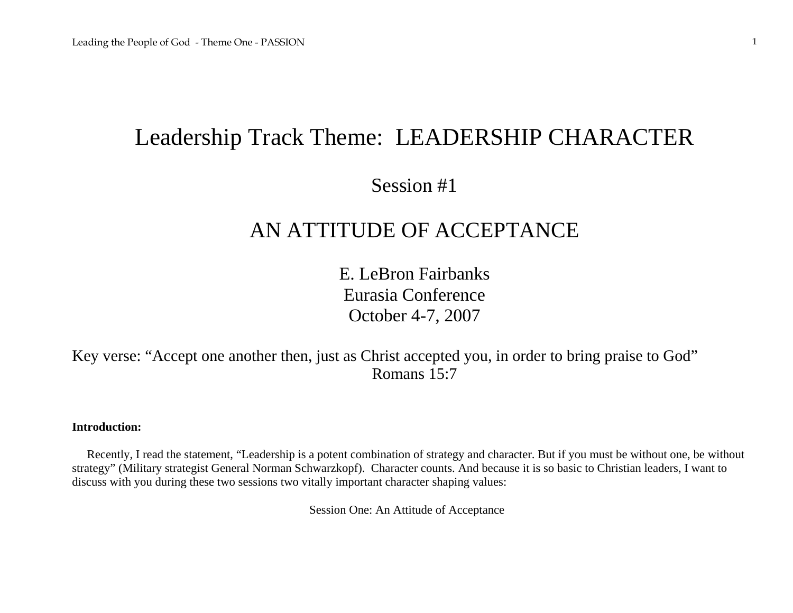# Leadership Track Theme: LEADERSHIP CHARACTER

## Session #1

# AN ATTITUDE OF ACCEPTANCE

E. LeBron Fairbanks Eurasia Conference October 4-7, 2007

Key verse: "Accept one another then, just as Christ accepted you, in order to bring praise to God" Romans 15:7

#### **Introduction:**

 Recently, I read the statement, "Leadership is a potent combination of strategy and character. But if you must be without one, be without strategy" (Military strategist General Norman Schwarzkopf). Character counts. And because it is so basic to Christian leaders, I want to discuss with you during these two sessions two vitally important character shaping values:

Session One: An Attitude of Acceptance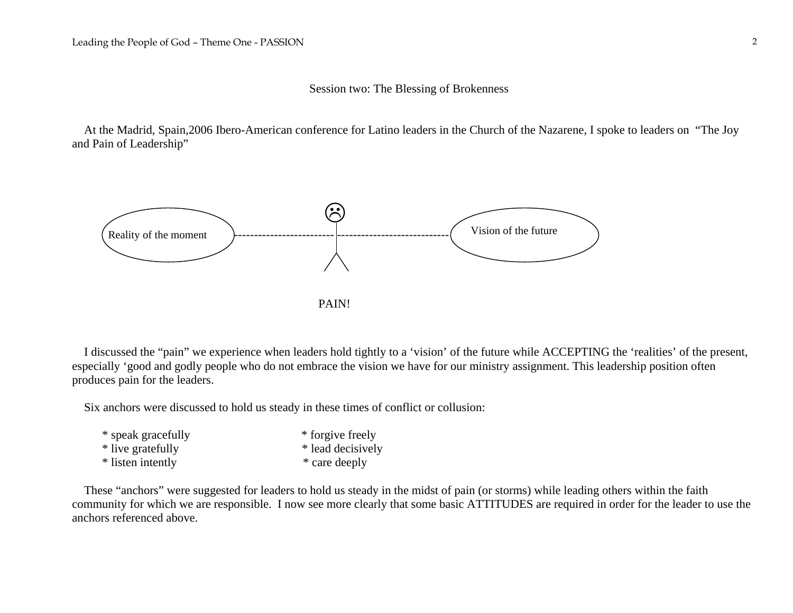#### Session two: The Blessing of Brokenness

 At the Madrid, Spain,2006 Ibero-American conference for Latino leaders in the Church of the Nazarene, I spoke to leaders on "The Joy and Pain of Leadership"



 I discussed the "pain" we experience when leaders hold tightly to a 'vision' of the future while ACCEPTING the 'realities' of the present, especially 'good and godly people who do not embrace the vision we have for our ministry assignment. This leadership position often produces pain for the leaders.

Six anchors were discussed to hold us steady in these times of conflict or collusion:

| * speak gracefully | * forgive freely  |
|--------------------|-------------------|
| * live gratefully  | * lead decisively |
| * listen intently  | * care deeply     |

 These "anchors" were suggested for leaders to hold us steady in the midst of pain (or storms) while leading others within the faith community for which we are responsible. I now see more clearly that some basic ATTITUDES are required in order for the leader to use the anchors referenced above.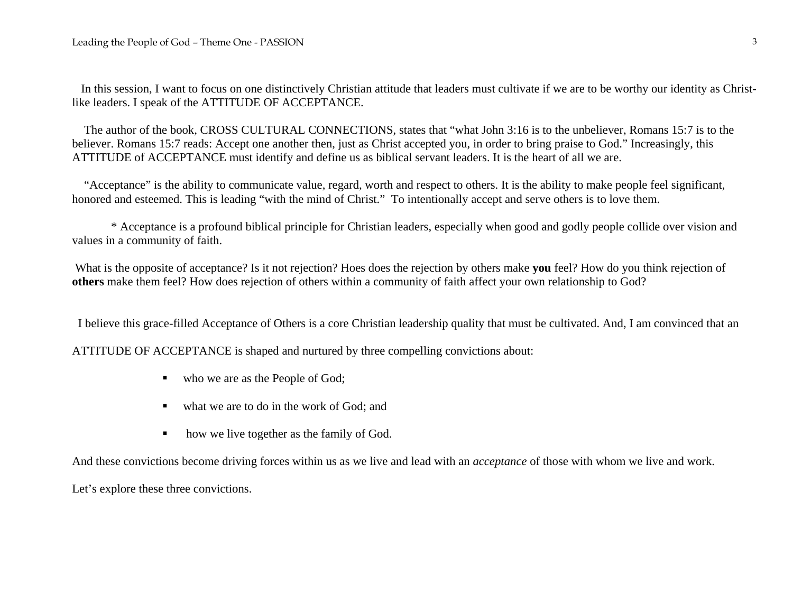In this session, I want to focus on one distinctively Christian attitude that leaders must cultivate if we are to be worthy our identity as Christlike leaders. I speak of the ATTITUDE OF ACCEPTANCE.

 The author of the book, CROSS CULTURAL CONNECTIONS, states that "what John 3:16 is to the unbeliever, Romans 15:7 is to the believer. Romans 15:7 reads: Accept one another then, just as Christ accepted you, in order to bring praise to God." Increasingly, this ATTITUDE of ACCEPTANCE must identify and define us as biblical servant leaders. It is the heart of all we are.

 "Acceptance" is the ability to communicate value, regard, worth and respect to others. It is the ability to make people feel significant, honored and esteemed. This is leading "with the mind of Christ." To intentionally accept and serve others is to love them.

 \* Acceptance is a profound biblical principle for Christian leaders, especially when good and godly people collide over vision and values in a community of faith.

 What is the opposite of acceptance? Is it not rejection? Hoes does the rejection by others make **you** feel? How do you think rejection of **others** make them feel? How does rejection of others within a community of faith affect your own relationship to God?

I believe this grace-filled Acceptance of Others is a core Christian leadership quality that must be cultivated. And, I am convinced that an

ATTITUDE OF ACCEPTANCE is shaped and nurtured by three compelling convictions about:

- who we are as the People of God;
- what we are to do in the work of God; and
- how we live together as the family of God.

And these convictions become driving forces within us as we live and lead with an *acceptance* of those with whom we live and work.

Let's explore these three convictions.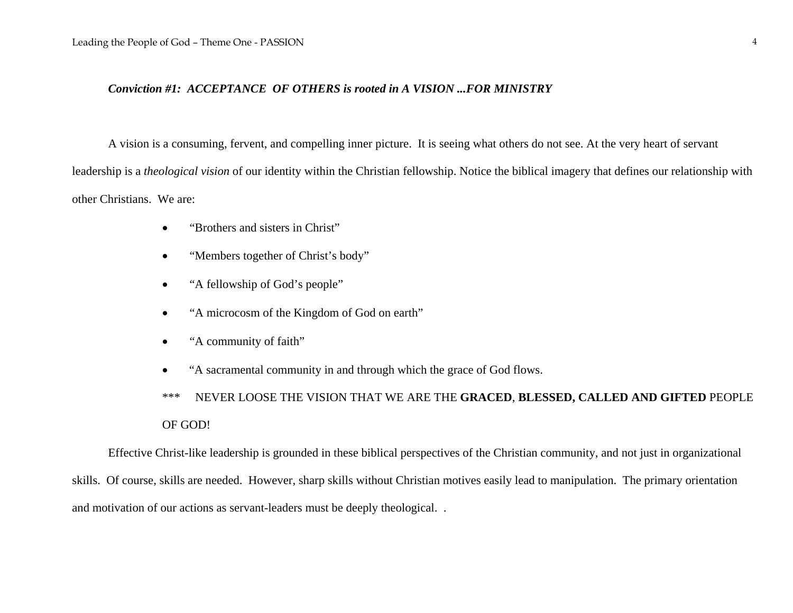#### *Conviction #1: ACCEPTANCE OF OTHERS is rooted in A VISION ...FOR MINISTRY*

 A vision is a consuming, fervent, and compelling inner picture. It is seeing what others do not see. At the very heart of servant leadership is a *theological vision* of our identity within the Christian fellowship. Notice the biblical imagery that defines our relationship with other Christians. We are:

- $\bullet$ "Brothers and sisters in Christ"
- $\bullet$ "Members together of Christ's body"
- $\bullet$ "A fellowship of God's people"
- $\bullet$ "A microcosm of the Kingdom of God on earth"
- $\bullet$ "A community of faith"
- $\bullet$ "A sacramental community in and through which the grace of God flows.

\*\*\* NEVER LOOSE THE VISION THAT WE ARE THE **GRACED**, **BLESSED, CALLED AND GIFTED** PEOPLE OF GOD!

 Effective Christ-like leadership is grounded in these biblical perspectives of the Christian community, and not just in organizational skills. Of course, skills are needed. However, sharp skills without Christian motives easily lead to manipulation. The primary orientation and motivation of our actions as servant-leaders must be deeply theological. .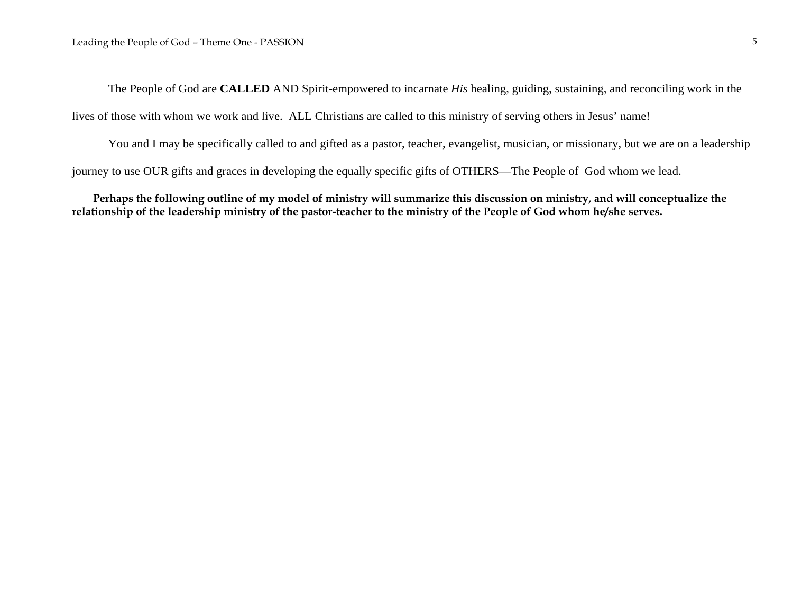The People of God are **CALLED** AND Spirit-empowered to incarnate *His* healing, guiding, sustaining, and reconciling work in the lives of those with whom we work and live. ALL Christians are called to this ministry of serving others in Jesus' name!

 You and I may be specifically called to and gifted as a pastor, teacher, evangelist, musician, or missionary, but we are on a leadership journey to use OUR gifts and graces in developing the equally specific gifts of OTHERS—The People of God whom we lead.

**Perhaps the following outline of my model of ministry will summarize this discussion on ministry, and will conceptualize the relationship of the leadership ministry of the pastor-teacher to the ministry of the People of God whom he/she serves.**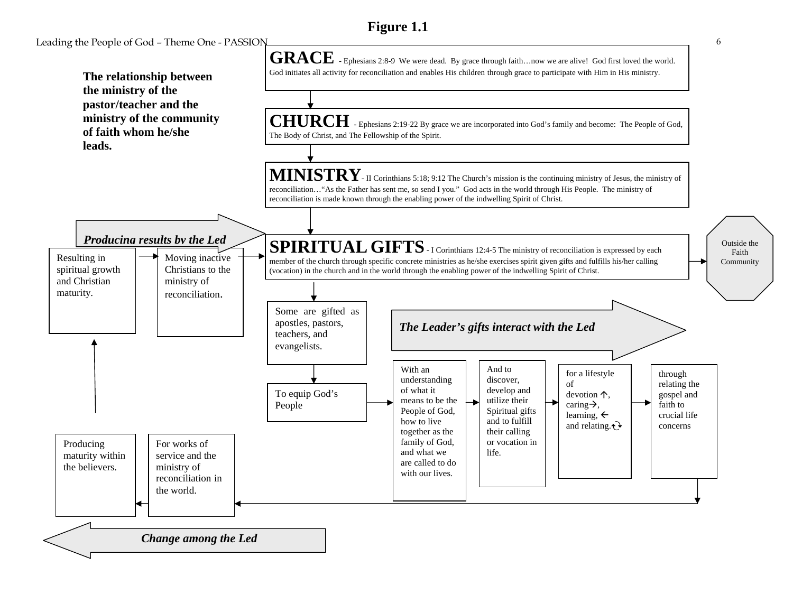## **Figure 1.1**

Leading the People of God – Theme One - PASSION 6

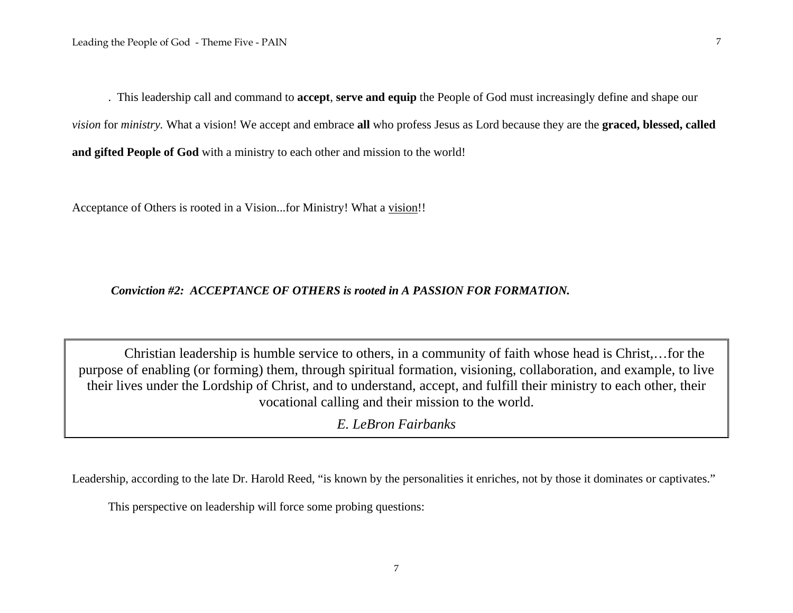. This leadership call and command to **accept**, **serve and equip** the People of God must increasingly define and shape our *vision* for *ministry.* What a vision! We accept and embrace **all** who profess Jesus as Lord because they are the **graced, blessed, called and gifted People of God** with a ministry to each other and mission to the world!

Acceptance of Others is rooted in a Vision...for Ministry! What a vision!!

#### *Conviction #2: ACCEPTANCE OF OTHERS is rooted in A PASSION FOR FORMATION.*

Christian leadership is humble service to others, in a community of faith whose head is Christ,…for the purpose of enabling (or forming) them, through spiritual formation, visioning, collaboration, and example, to live their lives under the Lordship of Christ, and to understand, accept, and fulfill their ministry to each other, their vocational calling and their mission to the world.

*E. LeBron Fairbanks* 

Leadership, according to the late Dr. Harold Reed, "is known by the personalities it enriches, not by those it dominates or captivates."

This perspective on leadership will force some probing questions: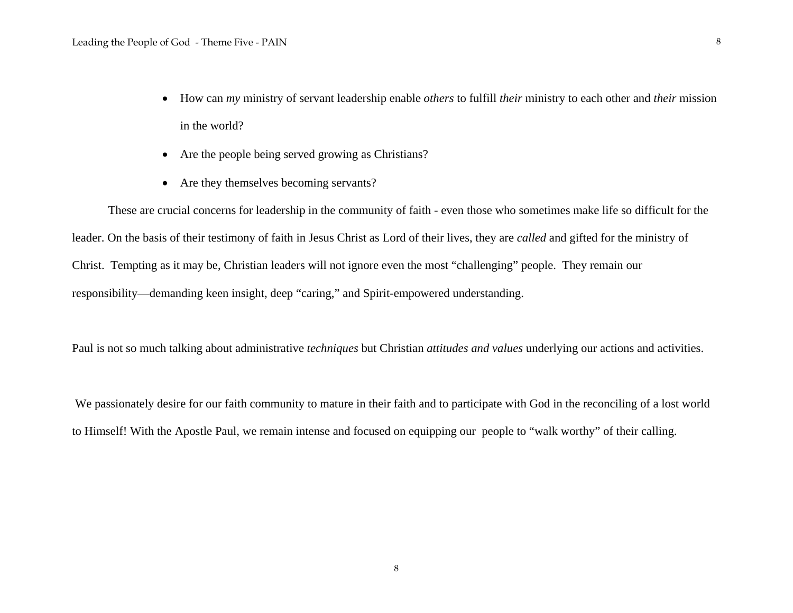- How can *my* ministry of servant leadership enable *others* to fulfill *their* ministry to each other and *their* mission in the world?
- $\bullet$ Are the people being served growing as Christians?
- Are they themselves becoming servants?

 These are crucial concerns for leadership in the community of faith - even those who sometimes make life so difficult for the leader. On the basis of their testimony of faith in Jesus Christ as Lord of their lives, they are *called* and gifted for the ministry of Christ. Tempting as it may be, Christian leaders will not ignore even the most "challenging" people. They remain our responsibility—demanding keen insight, deep "caring," and Spirit-empowered understanding.

Paul is not so much talking about administrative *techniques* but Christian *attitudes and values* underlying our actions and activities.

 We passionately desire for our faith community to mature in their faith and to participate with God in the reconciling of a lost world to Himself! With the Apostle Paul, we remain intense and focused on equipping our people to "walk worthy" of their calling.

8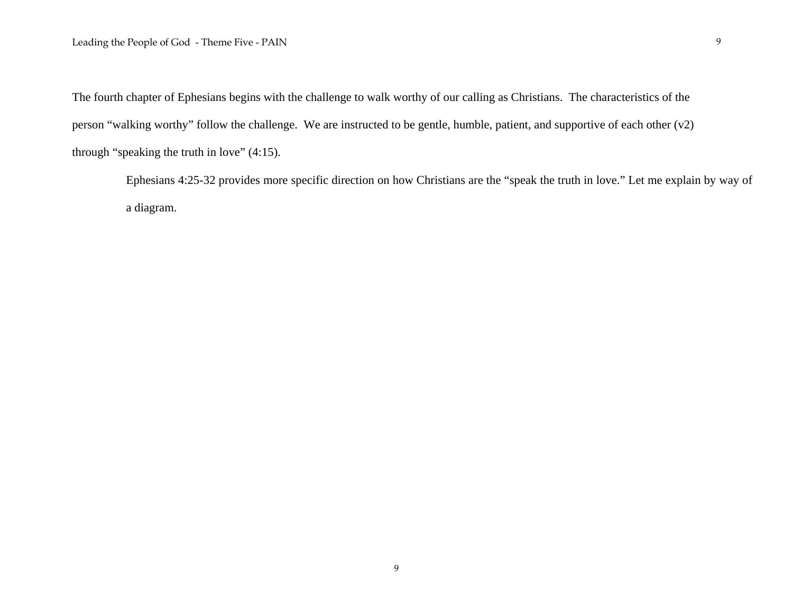The fourth chapter of Ephesians begins with the challenge to walk worthy of our calling as Christians. The characteristics of the person "walking worthy" follow the challenge. We are instructed to be gentle, humble, patient, and supportive of each other (v2) through "speaking the truth in love" (4:15).

 Ephesians 4:25-32 provides more specific direction on how Christians are the "speak the truth in love." Let me explain by way of a diagram.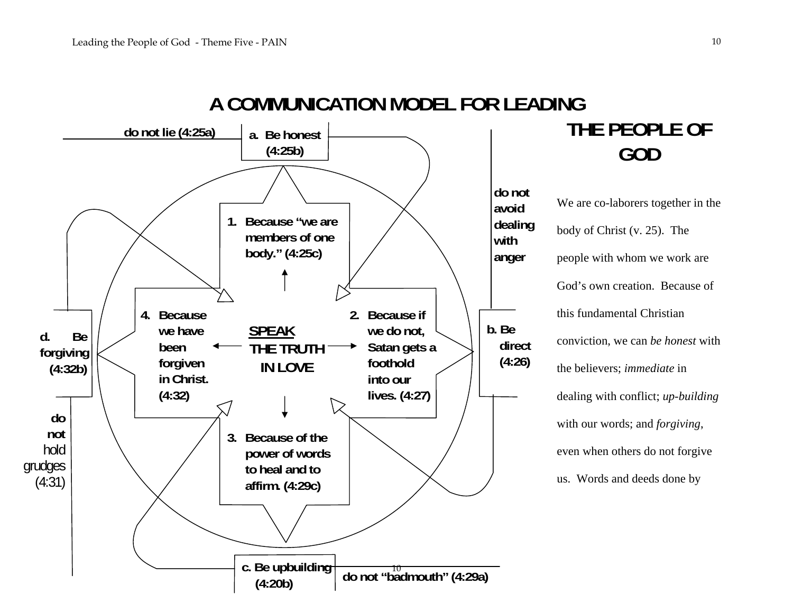

# **THE PEOPLE OF GOD**

We are co-laborers together in t he body of Christ (v. 25). The people with whom we work are God's own creation. Because of this fundamental Christian conviction, we can *be honest* with the believers; *immediate* in dealing with conflict; *up-building* with our words; and *forgiving*, even when others do not forgive us. Words and deeds done by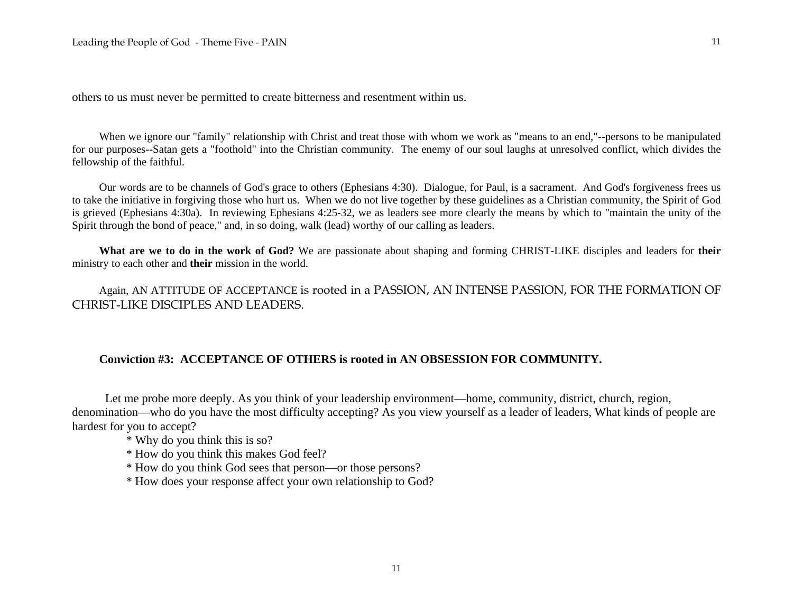others to us must never be permitted to create bitterness and resentment within us.

When we ignore our "family" relationship with Christ and treat those with whom we work as "means to an end,"--persons to be manipulated for our purposes--Satan gets a "foothold" into the Christian community. The enemy of our soul laughs at unresolved conflict, which divides the fellowship of the faithful.

Our words are to be channels of God's grace to others (Ephesians 4:30). Dialogue, for Paul, is a sacrament. And God's forgiveness frees us to take the initiative in forgiving those who hurt us. When we do not live together by these guidelines as a Christian community, the Spirit of God is grieved (Ephesians 4:30a). In reviewing Ephesians 4:25-32, we as leaders see more clearly the means by which to "maintain the unity of the Spirit through the bond of peace," and, in so doing, walk (lead) worthy of our calling as leaders.

**What are we to do in the work of God?** We are passionate about shaping and forming CHRIST-LIKE disciples and leaders for **their** ministry to each other and **their** mission in the world.

Again, AN ATTITUDE OF ACCEPTANCE is rooted in a PASSION, AN INTENSE PASSION, FOR THE FORMATION OF CHRIST-LIKE DISCIPLES AND LEADERS.

#### **Conviction #3: ACCEPTANCE OF OTHERS is rooted in AN OBSESSION FOR COMMUNITY.**

Let me probe more deeply. As you think of your leadership environment—home, community, district, church, region, denomination—who do you have the most difficulty accepting? As you view yourself as a leader of leaders, What kinds of people are hardest for you to accept?

\* Why do you think this is so?

\* How do you think this makes God feel?

\* How do you think God sees that person—or those persons?

\* How does your response affect your own relationship to God?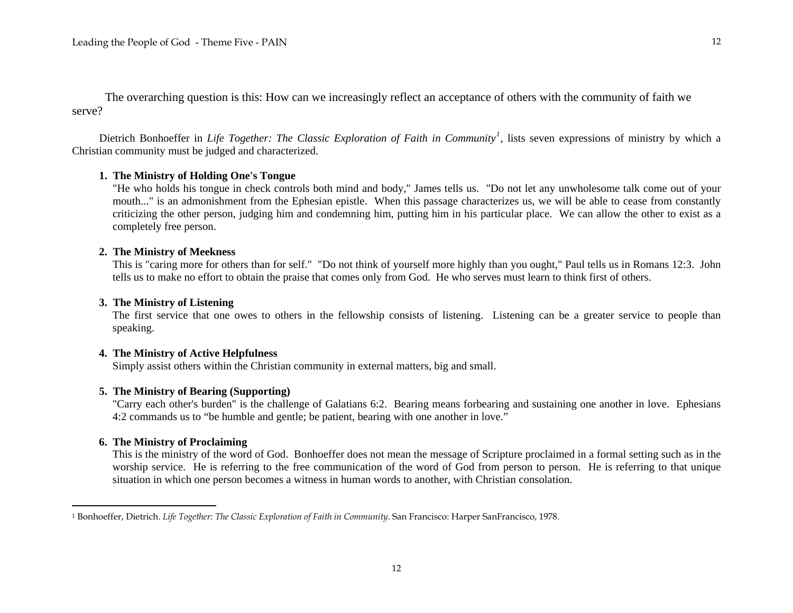The overarching question is this: How can we increasingly reflect an acceptance of others with the community of faith we serve?

Dietrich Bonhoeffer in *Life Together: The Classic Exploration of Faith in Community<sup>[1](#page-11-0)</sup>*, lists seven expressions of ministry by which a Christian community must be judged and characterized.

#### **1. The Ministry of Holding One's Tongue**

"He who holds his tongue in check controls both mind and body," James tells us. "Do not let any unwholesome talk come out of your mouth..." is an admonishment from the Ephesian epistle. When this passage characterizes us, we will be able to cease from constantly criticizing the other person, judging him and condemning him, putting him in his particular place. We can allow the other to exist as a completely free person.

#### **2. The Ministry of Meekness**

 This is "caring more for others than for self." "Do not think of yourself more highly than you ought," Paul tells us in Romans 12:3. John tells us to make no effort to obtain the praise that comes only from God. He who serves must learn to think first of others.

#### **3. The Ministry of Listening**

 The first service that one owes to others in the fellowship consists of listening. Listening can be a greater service to people than speaking.

#### **4. The Ministry of Active Helpfulness**

Simply assist others within the Christian community in external matters, big and small.

#### **5. The Ministry of Bearing (Supporting)**

 "Carry each other's burden" is the challenge of Galatians 6:2. Bearing means forbearing and sustaining one another in love. Ephesians 4:2 commands us to "be humble and gentle; be patient, bearing with one another in love."

#### **6. The Ministry of Proclaiming**

 This is the ministry of the word of God. Bonhoeffer does not mean the message of Scripture proclaimed in a formal setting such as in the worship service. He is referring to the free communication of the word of God from person to person. He is referring to that unique situation in which one person becomes a witness in human words to another, with Christian consolation.

<span id="page-11-0"></span><sup>1</sup> Bonhoeffer, Dietrich. *Life Together: The Classic Exploration of Faith in Community*. San Francisco: Harper SanFrancisco, 1978.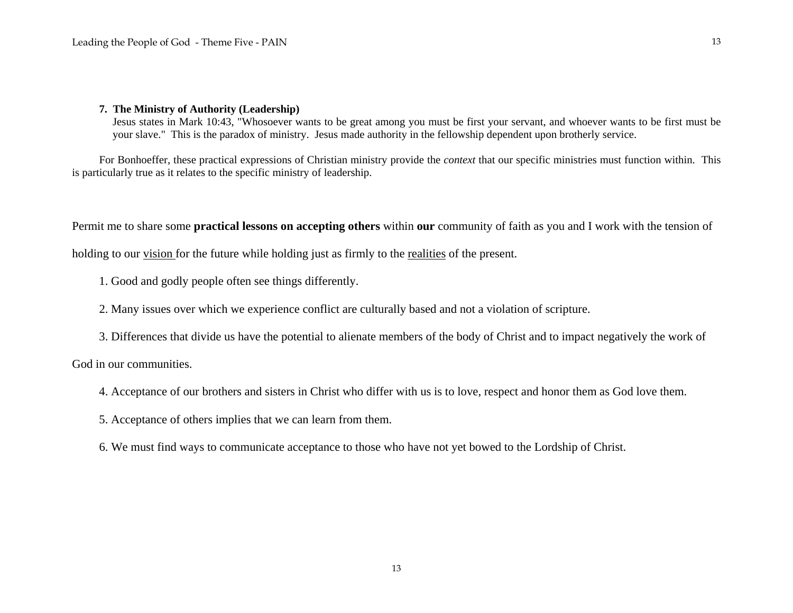#### **7. The Ministry of Authority (Leadership)**

 Jesus states in Mark 10:43, "Whosoever wants to be great among you must be first your servant, and whoever wants to be first must be your slave." This is the paradox of ministry. Jesus made authority in the fellowship dependent upon brotherly service.

For Bonhoeffer, these practical expressions of Christian ministry provide the *context* that our specific ministries must function within. This is particularly true as it relates to the specific ministry of leadership.

Permit me to share some **practical lessons on accepting others** within **our** community of faith as you and I work with the tension of

holding to our vision for the future while holding just as firmly to the realities of the present.

- 1. Good and godly people often see things differently.
- 2. Many issues over which we experience conflict are culturally based and not a violation of scripture.
- 3. Differences that divide us have the potential to alienate members of the body of Christ and to impact negatively the work of

God in our communities.

- 4. Acceptance of our brothers and sisters in Christ who differ with us is to love, respect and honor them as God love them.
- 5. Acceptance of others implies that we can learn from them.
- 6. We must find ways to communicate acceptance to those who have not yet bowed to the Lordship of Christ.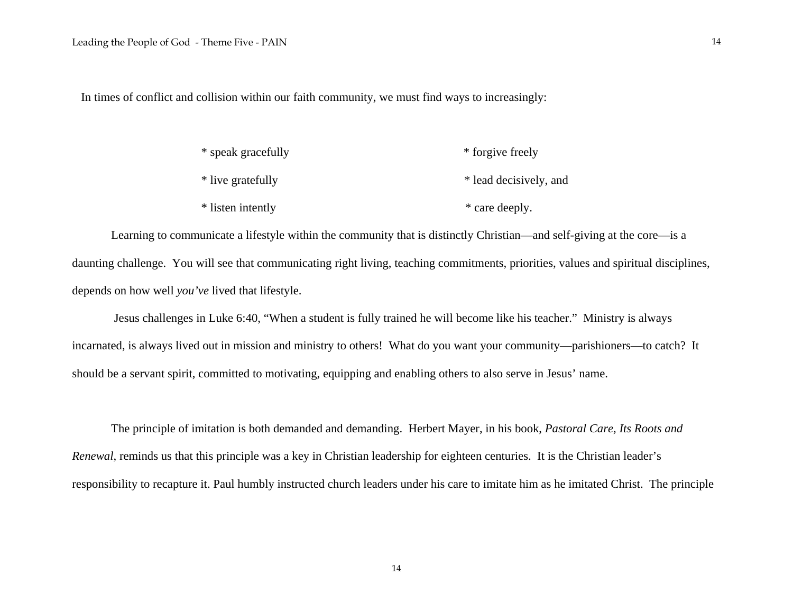In times of conflict and collision within our faith community, we must find ways to increasingly:

| * speak gracefully | * forgive freely       |
|--------------------|------------------------|
| * live gratefully  | * lead decisively, and |
| * listen intently  | * care deeply.         |

 Learning to communicate a lifestyle within the community that is distinctly Christian—and self-giving at the core—is a daunting challenge. You will see that communicating right living, teaching commitments, priorities, values and spiritual disciplines, depends on how well *you've* lived that lifestyle.

 Jesus challenges in Luke 6:40, "When a student is fully trained he will become like his teacher." Ministry is always incarnated, is always lived out in mission and ministry to others! What do you want your community—parishioners—to catch? It should be a servant spirit, committed to motivating, equipping and enabling others to also serve in Jesus' name.

 The principle of imitation is both demanded and demanding. Herbert Mayer, in his book, *Pastoral Care, Its Roots and Renewal*, reminds us that this principle was a key in Christian leadership for eighteen centuries. It is the Christian leader's responsibility to recapture it. Paul humbly instructed church leaders under his care to imitate him as he imitated Christ. The principle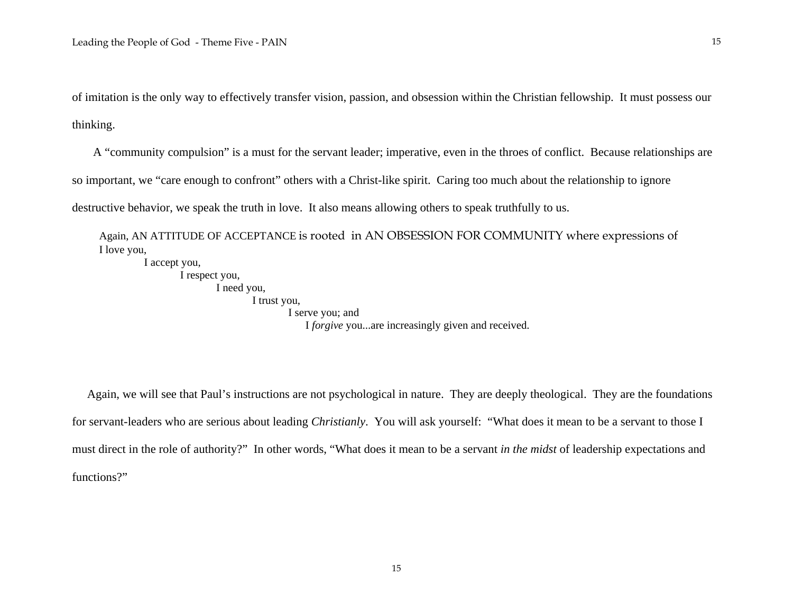of imitation is the only way to effectively transfer vision, passion, and obsession within the Christian fellowship. It must possess our thinking.

A "community compulsion" is a must for the servant leader; imperative, even in the throes of conflict. Because relationships are

so important, we "care enough to confront" others with a Christ-like spirit. Caring too much about the relationship to ignore

destructive behavior, we speak the truth in love. It also means allowing others to speak truthfully to us.

Again, AN ATTITUDE OF ACCEPTANCE is rooted in AN OBSESSION FOR COMMUNITY where expressions of I love you,

 I accept you, I respect you, I need you, I trust you, I serve you; and I *forgive* you...are increasingly given and received.

 Again, we will see that Paul's instructions are not psychological in nature. They are deeply theological. They are the foundations for servant-leaders who are serious about leading *Christianly*. You will ask yourself: "What does it mean to be a servant to those I must direct in the role of authority?" In other words, "What does it mean to be a servant *in the midst* of leadership expectations and functions?"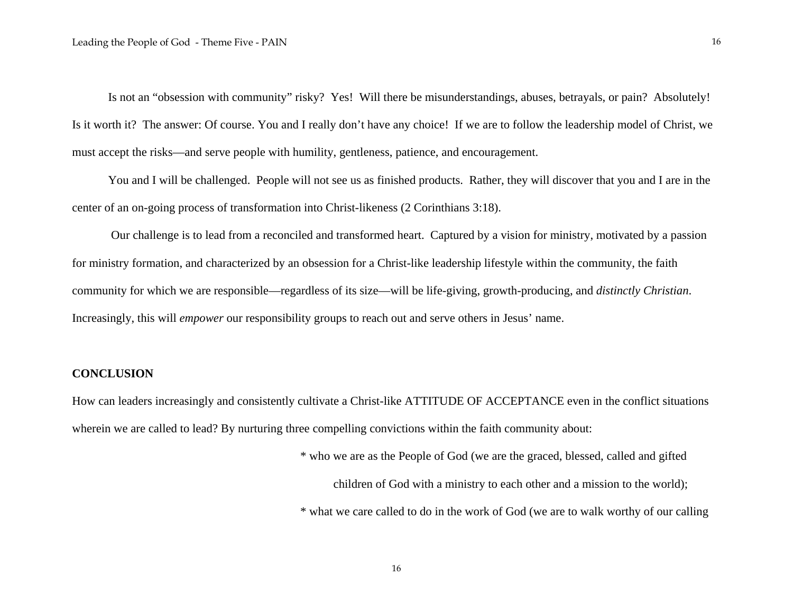Is not an "obsession with community" risky? Yes! Will there be misunderstandings, abuses, betrayals, or pain? Absolutely! Is it worth it? The answer: Of course. You and I really don't have any choice! If we are to follow the leadership model of Christ, we must accept the risks—and serve people with humility, gentleness, patience, and encouragement.

 You and I will be challenged. People will not see us as finished products. Rather, they will discover that you and I are in the center of an on-going process of transformation into Christ-likeness (2 Corinthians 3:18).

 Our challenge is to lead from a reconciled and transformed heart. Captured by a vision for ministry, motivated by a passion for ministry formation, and characterized by an obsession for a Christ-like leadership lifestyle within the community, the faith community for which we are responsible—regardless of its size—will be life-giving, growth-producing, and *distinctly Christian*. Increasingly, this will *empower* our responsibility groups to reach out and serve others in Jesus' name.

#### **CONCLUSION**

How can leaders increasingly and consistently cultivate a Christ-like ATTITUDE OF ACCEPTANCE even in the conflict situations wherein we are called to lead? By nurturing three compelling convictions within the faith community about:

\* who we are as the People of God (we are the graced, blessed, called and gifted

children of God with a ministry to each other and a mission to the world);

\* what we care called to do in the work of God (we are to walk worthy of our calling

16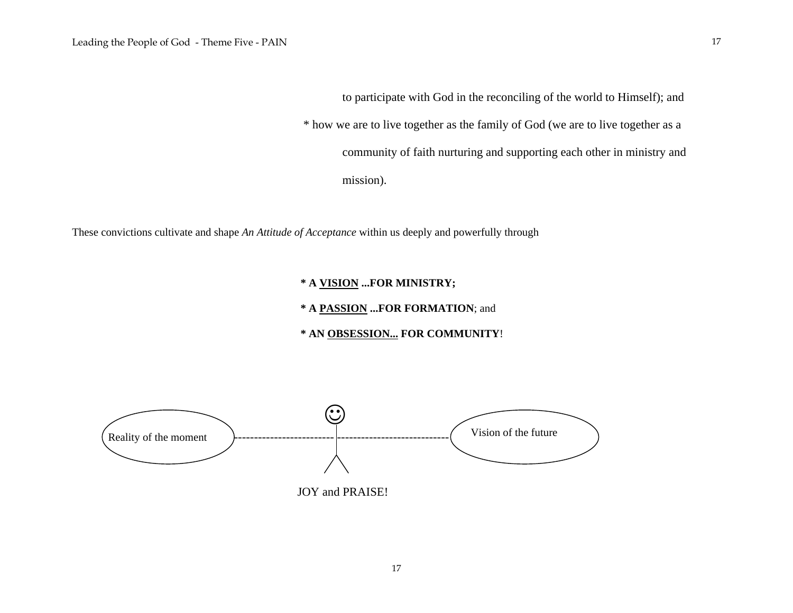to participate with God in the reconciling of the world to Himself); and

\* how we are to live together as the family of God (we are to live together as a

community of faith nurturing and supporting each other in ministry and

mission).

These convictions cultivate and shape *An Attitude of Acceptance* within us deeply and powerfully through

 **\* A VISION ...FOR MINISTRY;** 

 **\* A PASSION ...FOR FORMATION**; and

 **\* AN OBSESSION... FOR COMMUNITY**!

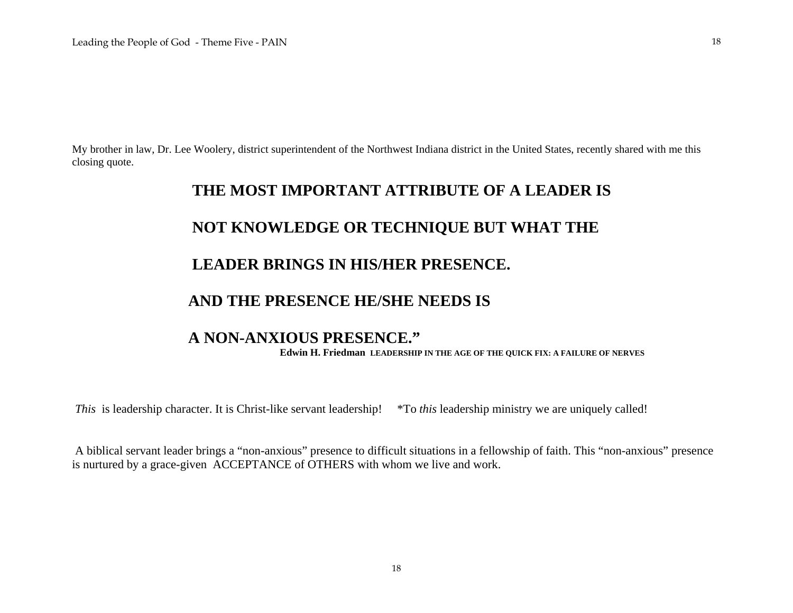My brother in law, Dr. Lee Woolery, district superintendent of the Northwest Indiana district in the United States, recently shared with me this closing quote.

# **THE MOST IMPORTANT ATTRIBUTE OF A LEADER IS NOT KNOWLEDGE OR TECHNIQUE BUT WHAT THE LEADER BRINGS IN HIS/HER PRESENCE.**

## **AND THE PRESENCE HE/SHE NEEDS IS**

## **A NON-ANXIOUS PRESENCE."**

 **Edwin H. Friedman LEADERSHIP IN THE AGE OF THE QUICK FIX: A FAILURE OF NERVES**

*This* is leadership character. It is Christ-like servant leadership! \*To *this* leadership ministry we are uniquely called!

 A biblical servant leader brings a "non-anxious" presence to difficult situations in a fellowship of faith. This "non-anxious" presence is nurtured by a grace-given ACCEPTANCE of OTHERS with whom we live and work.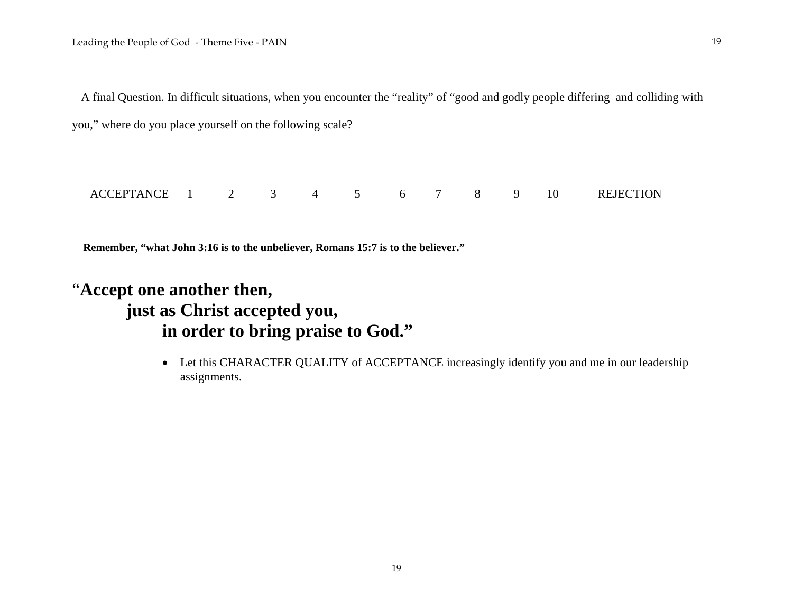A final Question. In difficult situations, when you encounter the "reality" of "good and godly people differing and colliding with you," where do you place yourself on the following scale?

ACCEPTANCE 1 2 3 4 5 6 7 8 9 10 REJECTION

 **Remember, "what John 3:16 is to the unbeliever, Romans 15:7 is to the believer."** 

# "**Accept one another then, just as Christ accepted you, in order to bring praise to God."**

• Let this CHARACTER QUALITY of ACCEPTANCE increasingly identify you and me in our leadership assignments.